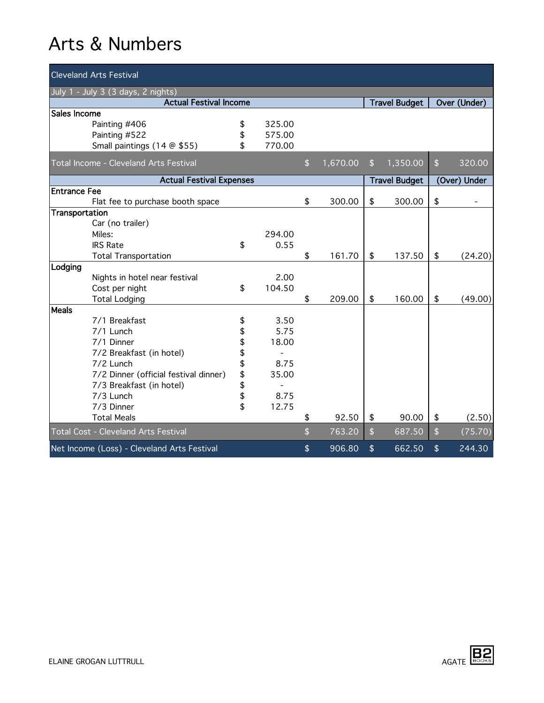| <b>Cleveland Arts Festival</b>              |    |                      |                |              |                                 |                      |                    |              |  |
|---------------------------------------------|----|----------------------|----------------|--------------|---------------------------------|----------------------|--------------------|--------------|--|
| July 1 - July 3 (3 days, 2 nights)          |    |                      |                |              |                                 |                      |                    |              |  |
| <b>Actual Festival Income</b>               |    | <b>Travel Budget</b> |                | Over (Under) |                                 |                      |                    |              |  |
| Sales Income                                |    |                      |                |              |                                 |                      |                    |              |  |
| Painting #406                               | \$ | 325.00               |                |              |                                 |                      |                    |              |  |
| Painting #522                               | \$ | 575.00               |                |              |                                 |                      |                    |              |  |
| Small paintings (14 @ \$55)                 | \$ | 770.00               |                |              |                                 |                      |                    |              |  |
| Total Income - Cleveland Arts Festival      |    |                      | \$             | 1,670.00     | $\mathfrak{L}$                  | 1,350.00             | \$                 | 320.00       |  |
| <b>Actual Festival Expenses</b>             |    |                      |                |              |                                 | <b>Travel Budget</b> |                    | (Over) Under |  |
| <b>Entrance Fee</b>                         |    |                      |                |              |                                 |                      |                    |              |  |
| Flat fee to purchase booth space            |    |                      | \$             | 300.00       | \$                              | 300.00               | \$                 |              |  |
| Transportation                              |    |                      |                |              |                                 |                      |                    |              |  |
| Car (no trailer)                            |    |                      |                |              |                                 |                      |                    |              |  |
| Miles:                                      |    | 294.00               |                |              |                                 |                      |                    |              |  |
| <b>IRS Rate</b>                             | \$ | 0.55                 |                |              |                                 |                      |                    |              |  |
| <b>Total Transportation</b>                 |    |                      | \$             | 161.70       | \$                              | 137.50               | \$                 | (24.20)      |  |
| Lodging                                     |    |                      |                |              |                                 |                      |                    |              |  |
| Nights in hotel near festival               |    | 2.00                 |                |              |                                 |                      |                    |              |  |
| Cost per night                              | \$ | 104.50               | \$             | 209.00       | \$                              | 160.00               | \$                 |              |  |
| <b>Total Lodging</b><br><b>Meals</b>        |    |                      |                |              |                                 |                      |                    | (49.00)      |  |
| 7/1 Breakfast                               | \$ | 3.50                 |                |              |                                 |                      |                    |              |  |
| 7/1 Lunch                                   | \$ | 5.75                 |                |              |                                 |                      |                    |              |  |
| 7/1 Dinner                                  | \$ | 18.00                |                |              |                                 |                      |                    |              |  |
| 7/2 Breakfast (in hotel)                    | \$ | $\overline{a}$       |                |              |                                 |                      |                    |              |  |
| 7/2 Lunch                                   | \$ | 8.75                 |                |              |                                 |                      |                    |              |  |
| 7/2 Dinner (official festival dinner)       | \$ | 35.00                |                |              |                                 |                      |                    |              |  |
| 7/3 Breakfast (in hotel)                    | \$ |                      |                |              |                                 |                      |                    |              |  |
| 7/3 Lunch                                   | \$ | 8.75                 |                |              |                                 |                      |                    |              |  |
| 7/3 Dinner                                  | \$ | 12.75                |                |              |                                 |                      |                    |              |  |
| <b>Total Meals</b>                          |    |                      | \$             | 92.50        | \$                              | 90.00                | \$                 | (2.50)       |  |
| Total Cost - Cleveland Arts Festival        |    |                      | $\mathfrak{L}$ | 763.20       | $\sqrt{2}$                      | 687.50               | $\mathbf{\hat{S}}$ | (75.70)      |  |
| Net Income (Loss) - Cleveland Arts Festival |    |                      | \$             | 906.80       | $\boldsymbol{\hat{\mathsf{s}}}$ | 662.50               | \$                 | 244.30       |  |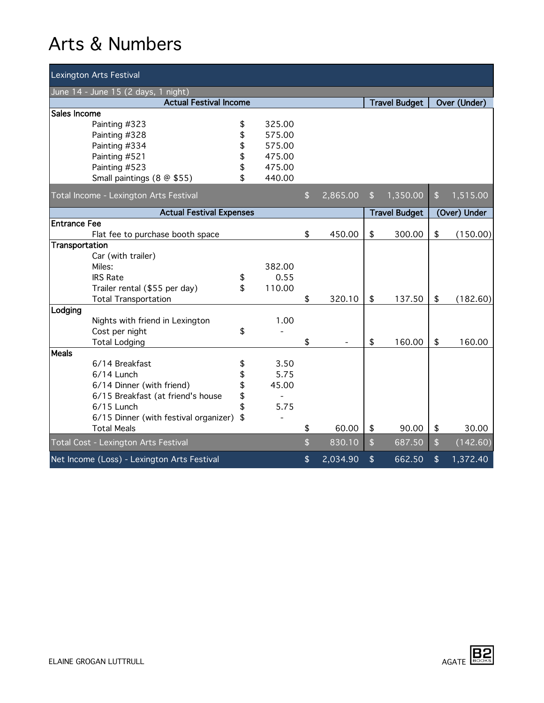|                                     | <b>Lexington Arts Festival</b>              |          |                |                    |          |               |                      |                    |              |
|-------------------------------------|---------------------------------------------|----------|----------------|--------------------|----------|---------------|----------------------|--------------------|--------------|
| June 14 - June 15 (2 days, 1 night) |                                             |          |                |                    |          |               |                      |                    |              |
|                                     | <b>Actual Festival Income</b>               |          |                |                    |          |               |                      |                    | Over (Under) |
| Sales Income                        |                                             |          |                |                    |          |               |                      |                    |              |
|                                     | Painting #323                               | \$       | 325.00         |                    |          |               |                      |                    |              |
|                                     | Painting #328                               | \$       | 575.00         |                    |          |               |                      |                    |              |
|                                     | Painting #334                               | \$       | 575.00         |                    |          |               |                      |                    |              |
|                                     | Painting #521                               | \$       | 475.00         |                    |          |               |                      |                    |              |
|                                     | Painting #523                               | \$       | 475.00         |                    |          |               |                      |                    |              |
|                                     | Small paintings (8 @ \$55)                  | \$       | 440.00         |                    |          |               |                      |                    |              |
|                                     | Total Income - Lexington Arts Festival      |          |                | \$                 | 2,865.00 | \$            | 1,350.00             | \$                 | 1,515.00     |
|                                     | <b>Actual Festival Expenses</b>             |          |                |                    |          |               | <b>Travel Budget</b> |                    | (Over) Under |
| <b>Entrance Fee</b>                 |                                             |          |                |                    |          |               |                      |                    |              |
|                                     | Flat fee to purchase booth space            |          |                | \$                 | 450.00   | \$            | 300.00               | \$                 | (150.00)     |
| Transportation                      |                                             |          |                |                    |          |               |                      |                    |              |
|                                     | Car (with trailer)                          |          |                |                    |          |               |                      |                    |              |
|                                     | Miles:                                      |          | 382.00         |                    |          |               |                      |                    |              |
|                                     | <b>IRS Rate</b>                             | \$       | 0.55           |                    |          |               |                      |                    |              |
|                                     | Trailer rental (\$55 per day)               | \$       | 110.00         |                    |          |               |                      |                    |              |
|                                     | <b>Total Transportation</b>                 |          |                | \$                 | 320.10   | \$            | 137.50               | \$                 | (182.60)     |
| Lodging                             |                                             |          |                |                    |          |               |                      |                    |              |
|                                     | Nights with friend in Lexington             |          | 1.00           |                    |          |               |                      |                    |              |
|                                     | Cost per night                              | \$       |                |                    |          |               |                      |                    |              |
|                                     | <b>Total Lodging</b>                        |          |                | \$                 |          | \$            | 160.00               | \$                 | 160.00       |
| <b>Meals</b>                        |                                             |          |                |                    |          |               |                      |                    |              |
|                                     | 6/14 Breakfast                              | \$       | 3.50           |                    |          |               |                      |                    |              |
|                                     | $6/14$ Lunch                                | \$       | 5.75           |                    |          |               |                      |                    |              |
|                                     | 6/14 Dinner (with friend)                   | \$       | 45.00          |                    |          |               |                      |                    |              |
|                                     | 6/15 Breakfast (at friend's house           | \$<br>\$ | $\blacksquare$ |                    |          |               |                      |                    |              |
|                                     | 6/15 Lunch                                  |          | 5.75           |                    |          |               |                      |                    |              |
|                                     | 6/15 Dinner (with festival organizer)       | \$       |                |                    |          |               |                      |                    |              |
|                                     | <b>Total Meals</b>                          |          |                | \$                 | 60.00    | \$            | 90.00                | \$                 | 30.00        |
|                                     | Total Cost - Lexington Arts Festival        |          |                | $\mathbf{\hat{z}}$ | 830.10   | $\mathsf{\$}$ | 687.50               | $\mathbf{\hat{S}}$ | (142.60)     |
|                                     | Net Income (Loss) - Lexington Arts Festival |          |                | \$                 | 2,034.90 | \$            | 662.50               | \$                 | 1,372.40     |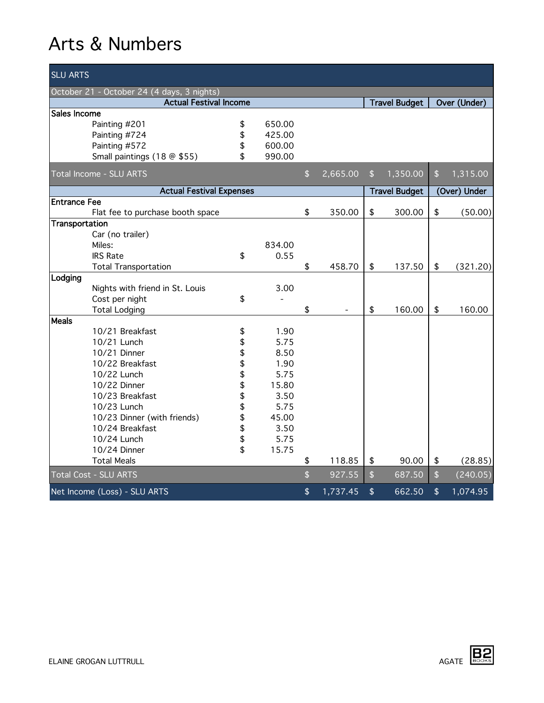| <b>SLU ARTS</b>                            |                                  |          |        |               |          |               |                      |                                 |              |
|--------------------------------------------|----------------------------------|----------|--------|---------------|----------|---------------|----------------------|---------------------------------|--------------|
| October 21 - October 24 (4 days, 3 nights) |                                  |          |        |               |          |               |                      |                                 |              |
|                                            | <b>Actual Festival Income</b>    |          |        |               |          |               | <b>Travel Budget</b> |                                 | Over (Under) |
| Sales Income                               |                                  |          |        |               |          |               |                      |                                 |              |
|                                            | Painting #201                    | \$       | 650.00 |               |          |               |                      |                                 |              |
|                                            | Painting #724                    | \$       | 425.00 |               |          |               |                      |                                 |              |
|                                            | Painting #572                    | \$       | 600.00 |               |          |               |                      |                                 |              |
|                                            | Small paintings (18 @ \$55)      | \$       | 990.00 |               |          |               |                      |                                 |              |
|                                            | <b>Total Income - SLU ARTS</b>   |          |        | $\frac{1}{2}$ | 2,665.00 | $\frac{1}{2}$ | 1,350.00             | \$                              | 1,315.00     |
|                                            | <b>Actual Festival Expenses</b>  |          |        |               |          |               | <b>Travel Budget</b> |                                 | (Over) Under |
| <b>Entrance Fee</b>                        |                                  |          |        |               |          |               |                      |                                 |              |
|                                            | Flat fee to purchase booth space |          |        | \$            | 350.00   | \$            | 300.00               | \$                              | (50.00)      |
| Transportation                             |                                  |          |        |               |          |               |                      |                                 |              |
|                                            | Car (no trailer)                 |          |        |               |          |               |                      |                                 |              |
|                                            | Miles:                           |          | 834.00 |               |          |               |                      |                                 |              |
|                                            | <b>IRS Rate</b>                  | \$       | 0.55   |               |          |               |                      |                                 |              |
|                                            | <b>Total Transportation</b>      |          |        | \$            | 458.70   | \$            | 137.50               | \$                              | (321.20)     |
| Lodging                                    |                                  |          |        |               |          |               |                      |                                 |              |
|                                            | Nights with friend in St. Louis  |          | 3.00   |               |          |               |                      |                                 |              |
|                                            | Cost per night                   | \$       |        |               |          |               |                      |                                 |              |
|                                            | <b>Total Lodging</b>             |          |        | \$            |          | \$            | 160.00               | \$                              | 160.00       |
| <b>Meals</b>                               |                                  |          |        |               |          |               |                      |                                 |              |
|                                            | 10/21 Breakfast                  | \$       | 1.90   |               |          |               |                      |                                 |              |
|                                            | 10/21 Lunch                      | \$       | 5.75   |               |          |               |                      |                                 |              |
|                                            | 10/21 Dinner                     | \$       | 8.50   |               |          |               |                      |                                 |              |
|                                            | 10/22 Breakfast                  | \$<br>\$ | 1.90   |               |          |               |                      |                                 |              |
|                                            | 10/22 Lunch                      |          | 5.75   |               |          |               |                      |                                 |              |
|                                            | 10/22 Dinner                     | \$       | 15.80  |               |          |               |                      |                                 |              |
|                                            | 10/23 Breakfast                  | \$       | 3.50   |               |          |               |                      |                                 |              |
|                                            | 10/23 Lunch                      | \$<br>\$ | 5.75   |               |          |               |                      |                                 |              |
|                                            | 10/23 Dinner (with friends)      |          | 45.00  |               |          |               |                      |                                 |              |
|                                            | 10/24 Breakfast                  | \$<br>\$ | 3.50   |               |          |               |                      |                                 |              |
|                                            | 10/24 Lunch                      |          | 5.75   |               |          |               |                      |                                 |              |
|                                            | 10/24 Dinner                     |          | 15.75  |               |          |               |                      |                                 |              |
|                                            | <b>Total Meals</b>               |          |        | \$            | 118.85   | \$            | 90.00                | \$                              | (28.85)      |
|                                            | <b>Total Cost - SLU ARTS</b>     |          |        | \$            | 927.55   | $\sqrt{2}$    | 687.50               | $\mathbf{\hat{S}}$              | (240.05)     |
|                                            | Net Income (Loss) - SLU ARTS     |          |        | \$            | 1,737.45 | $\frac{1}{2}$ | 662.50               | $\boldsymbol{\hat{\mathsf{s}}}$ | 1,074.95     |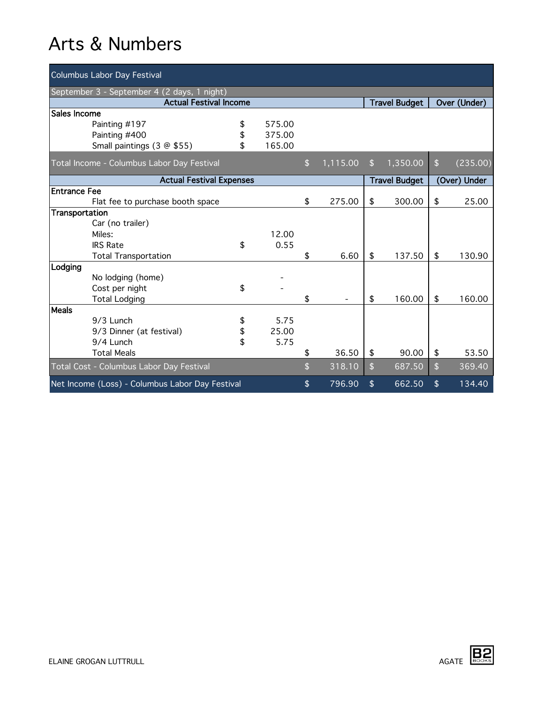| <b>Columbus Labor Day Festival</b>              |                                            |    |        |    |          |                      |                      |                        |              |
|-------------------------------------------------|--------------------------------------------|----|--------|----|----------|----------------------|----------------------|------------------------|--------------|
| September 3 - September 4 (2 days, 1 night)     |                                            |    |        |    |          |                      |                      |                        |              |
| <b>Actual Festival Income</b>                   |                                            |    |        |    |          | <b>Travel Budget</b> |                      | Over (Under)           |              |
| Sales Income                                    |                                            |    |        |    |          |                      |                      |                        |              |
|                                                 | Painting #197                              | \$ | 575.00 |    |          |                      |                      |                        |              |
|                                                 | Painting #400                              | \$ | 375.00 |    |          |                      |                      |                        |              |
|                                                 | Small paintings (3 @ \$55)                 | \$ | 165.00 |    |          |                      |                      |                        |              |
|                                                 | Total Income - Columbus Labor Day Festival |    |        | \$ | 1,115.00 | \$                   | 1,350.00             | $\boldsymbol{\hat{s}}$ | (235.00)     |
|                                                 | <b>Actual Festival Expenses</b>            |    |        |    |          |                      | <b>Travel Budget</b> |                        | (Over) Under |
| <b>Entrance Fee</b>                             |                                            |    |        |    |          |                      |                      |                        |              |
|                                                 | Flat fee to purchase booth space           |    |        | \$ | 275.00   | \$                   | 300.00               | \$                     | 25.00        |
| Transportation                                  |                                            |    |        |    |          |                      |                      |                        |              |
|                                                 | Car (no trailer)                           |    |        |    |          |                      |                      |                        |              |
|                                                 | Miles:                                     |    | 12.00  |    |          |                      |                      |                        |              |
|                                                 | <b>IRS Rate</b>                            | \$ | 0.55   |    |          |                      |                      |                        |              |
|                                                 | <b>Total Transportation</b>                |    |        | \$ | 6.60     | \$                   | 137.50               | \$                     | 130.90       |
| Lodging                                         |                                            |    |        |    |          |                      |                      |                        |              |
|                                                 | No lodging (home)                          |    |        |    |          |                      |                      |                        |              |
|                                                 | Cost per night                             | \$ |        |    |          |                      |                      |                        |              |
|                                                 | <b>Total Lodging</b>                       |    |        | \$ |          | \$                   | 160.00               | \$                     | 160.00       |
| Meals                                           |                                            |    |        |    |          |                      |                      |                        |              |
|                                                 | 9/3 Lunch                                  | \$ | 5.75   |    |          |                      |                      |                        |              |
|                                                 | 9/3 Dinner (at festival)                   | \$ | 25.00  |    |          |                      |                      |                        |              |
|                                                 | $9/4$ I unch                               | \$ | 5.75   |    |          |                      |                      |                        |              |
|                                                 | <b>Total Meals</b>                         |    |        | \$ | 36.50    | \$                   | 90.00                | \$                     | 53.50        |
|                                                 | Total Cost - Columbus Labor Day Festival   |    |        | \$ | 318.10   | $\mathbf{\hat{z}}$   | 687.50               | $\mathbf{\hat{z}}$     | 369.40       |
| Net Income (Loss) - Columbus Labor Day Festival |                                            |    |        | \$ | 796.90   | \$                   | 662.50               | \$                     | 134.40       |